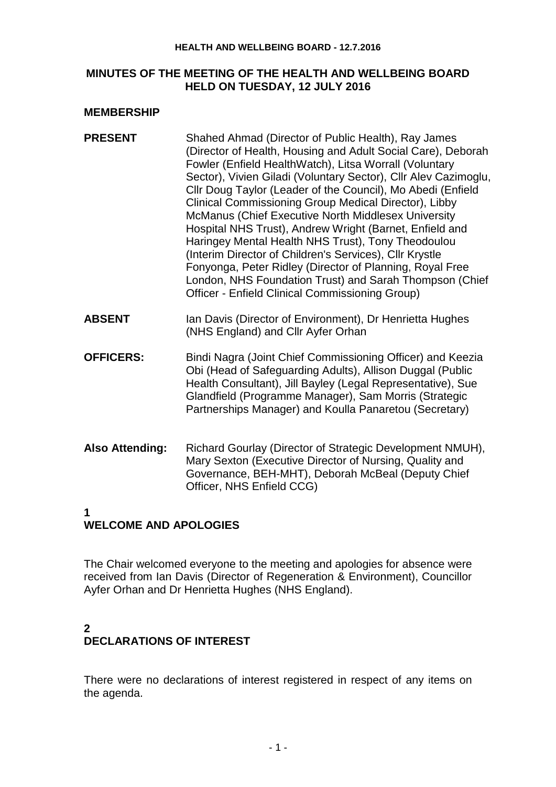#### **HEALTH AND WELLBEING BOARD - 12.7.2016**

#### **MINUTES OF THE MEETING OF THE HEALTH AND WELLBEING BOARD HELD ON TUESDAY, 12 JULY 2016**

#### **MEMBERSHIP**

| <b>PRESENT</b> | Shahed Ahmad (Director of Public Health), Ray James             |
|----------------|-----------------------------------------------------------------|
|                | (Director of Health, Housing and Adult Social Care), Deborah    |
|                | Fowler (Enfield HealthWatch), Litsa Worrall (Voluntary          |
|                | Sector), Vivien Giladi (Voluntary Sector), Cllr Alev Cazimoglu, |
|                | Cllr Doug Taylor (Leader of the Council), Mo Abedi (Enfield     |
|                | Clinical Commissioning Group Medical Director), Libby           |
|                | <b>McManus (Chief Executive North Middlesex University</b>      |
|                | Hospital NHS Trust), Andrew Wright (Barnet, Enfield and         |
|                | Haringey Mental Health NHS Trust), Tony Theodoulou              |
|                | (Interim Director of Children's Services), Cllr Krystle         |
|                | Fonyonga, Peter Ridley (Director of Planning, Royal Free        |
|                | London, NHS Foundation Trust) and Sarah Thompson (Chief         |
|                | Officer - Enfield Clinical Commissioning Group)                 |
|                |                                                                 |

- **ABSENT** Ian Davis (Director of Environment), Dr Henrietta Hughes (NHS England) and Cllr Ayfer Orhan
- **OFFICERS:** Bindi Nagra (Joint Chief Commissioning Officer) and Keezia Obi (Head of Safeguarding Adults), Allison Duggal (Public Health Consultant), Jill Bayley (Legal Representative), Sue Glandfield (Programme Manager), Sam Morris (Strategic Partnerships Manager) and Koulla Panaretou (Secretary)
- **Also Attending:** Richard Gourlay (Director of Strategic Development NMUH), Mary Sexton (Executive Director of Nursing, Quality and Governance, BEH-MHT), Deborah McBeal (Deputy Chief Officer, NHS Enfield CCG)

## **1**

## **WELCOME AND APOLOGIES**

The Chair welcomed everyone to the meeting and apologies for absence were received from Ian Davis (Director of Regeneration & Environment), Councillor Ayfer Orhan and Dr Henrietta Hughes (NHS England).

## **2 DECLARATIONS OF INTEREST**

There were no declarations of interest registered in respect of any items on the agenda.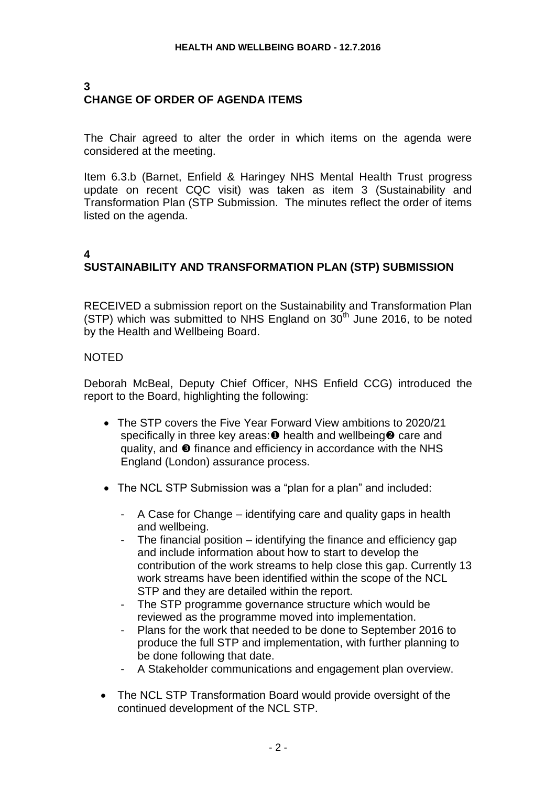# **3 CHANGE OF ORDER OF AGENDA ITEMS**

The Chair agreed to alter the order in which items on the agenda were considered at the meeting.

Item 6.3.b (Barnet, Enfield & Haringey NHS Mental Health Trust progress update on recent CQC visit) was taken as item 3 (Sustainability and Transformation Plan (STP Submission. The minutes reflect the order of items listed on the agenda.

# **4 SUSTAINABILITY AND TRANSFORMATION PLAN (STP) SUBMISSION**

RECEIVED a submission report on the Sustainability and Transformation Plan (STP) which was submitted to NHS England on  $30<sup>th</sup>$  June 2016, to be noted by the Health and Wellbeing Board.

### NOTED

Deborah McBeal, Deputy Chief Officer, NHS Enfield CCG) introduced the report to the Board, highlighting the following:

- The STP covers the Five Year Forward View ambitions to 2020/21 specifically in three key areas:  $\bullet$  health and wellbeing  $\bullet$  care and quality, and  $\bullet$  finance and efficiency in accordance with the NHS England (London) assurance process.
- The NCL STP Submission was a "plan for a plan" and included:
	- A Case for Change identifying care and quality gaps in health and wellbeing.
	- The financial position identifying the finance and efficiency gap and include information about how to start to develop the contribution of the work streams to help close this gap. Currently 13 work streams have been identified within the scope of the NCL STP and they are detailed within the report.
	- The STP programme governance structure which would be reviewed as the programme moved into implementation.
	- Plans for the work that needed to be done to September 2016 to produce the full STP and implementation, with further planning to be done following that date.
	- A Stakeholder communications and engagement plan overview.
- The NCL STP Transformation Board would provide oversight of the continued development of the NCL STP.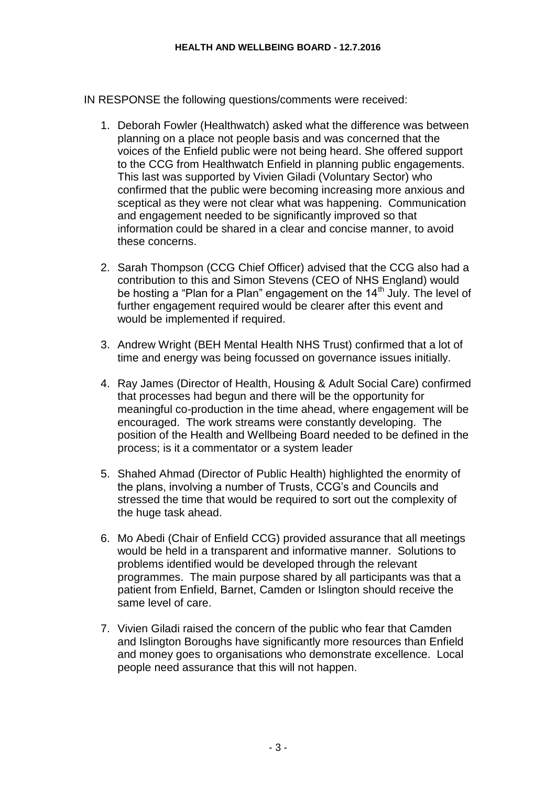IN RESPONSE the following questions/comments were received:

- 1. Deborah Fowler (Healthwatch) asked what the difference was between planning on a place not people basis and was concerned that the voices of the Enfield public were not being heard. She offered support to the CCG from Healthwatch Enfield in planning public engagements. This last was supported by Vivien Giladi (Voluntary Sector) who confirmed that the public were becoming increasing more anxious and sceptical as they were not clear what was happening. Communication and engagement needed to be significantly improved so that information could be shared in a clear and concise manner, to avoid these concerns.
- 2. Sarah Thompson (CCG Chief Officer) advised that the CCG also had a contribution to this and Simon Stevens (CEO of NHS England) would be hosting a "Plan for a Plan" engagement on the 14<sup>th</sup> July. The level of further engagement required would be clearer after this event and would be implemented if required.
- 3. Andrew Wright (BEH Mental Health NHS Trust) confirmed that a lot of time and energy was being focussed on governance issues initially.
- 4. Ray James (Director of Health, Housing & Adult Social Care) confirmed that processes had begun and there will be the opportunity for meaningful co-production in the time ahead, where engagement will be encouraged. The work streams were constantly developing. The position of the Health and Wellbeing Board needed to be defined in the process; is it a commentator or a system leader
- 5. Shahed Ahmad (Director of Public Health) highlighted the enormity of the plans, involving a number of Trusts, CCG's and Councils and stressed the time that would be required to sort out the complexity of the huge task ahead.
- 6. Mo Abedi (Chair of Enfield CCG) provided assurance that all meetings would be held in a transparent and informative manner. Solutions to problems identified would be developed through the relevant programmes. The main purpose shared by all participants was that a patient from Enfield, Barnet, Camden or Islington should receive the same level of care.
- 7. Vivien Giladi raised the concern of the public who fear that Camden and Islington Boroughs have significantly more resources than Enfield and money goes to organisations who demonstrate excellence. Local people need assurance that this will not happen.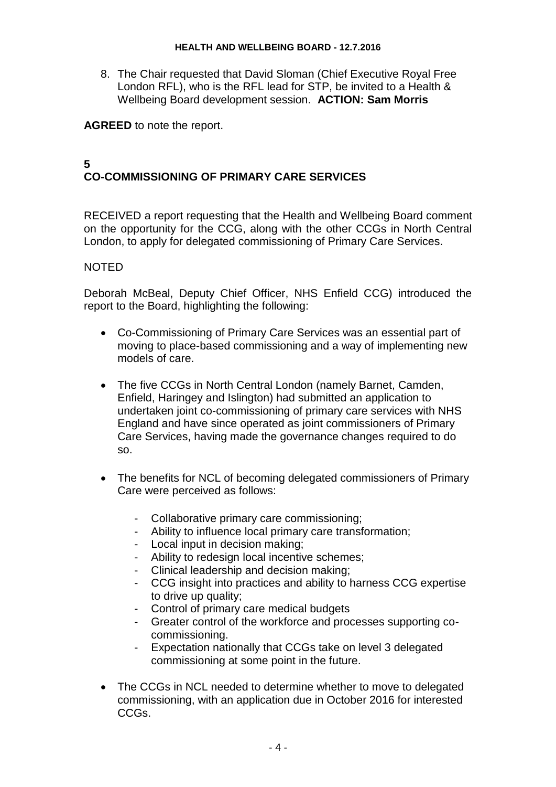8. The Chair requested that David Sloman (Chief Executive Royal Free London RFL), who is the RFL lead for STP, be invited to a Health & Wellbeing Board development session. **ACTION: Sam Morris**

**AGREED** to note the report.

# **5 CO-COMMISSIONING OF PRIMARY CARE SERVICES**

RECEIVED a report requesting that the Health and Wellbeing Board comment on the opportunity for the CCG, along with the other CCGs in North Central London, to apply for delegated commissioning of Primary Care Services.

### NOTED

Deborah McBeal, Deputy Chief Officer, NHS Enfield CCG) introduced the report to the Board, highlighting the following:

- Co-Commissioning of Primary Care Services was an essential part of moving to place-based commissioning and a way of implementing new models of care.
- The five CCGs in North Central London (namely Barnet, Camden, Enfield, Haringey and Islington) had submitted an application to undertaken joint co-commissioning of primary care services with NHS England and have since operated as joint commissioners of Primary Care Services, having made the governance changes required to do so.
- The benefits for NCL of becoming delegated commissioners of Primary Care were perceived as follows:
	- Collaborative primary care commissioning;
	- Ability to influence local primary care transformation;
	- Local input in decision making;
	- Ability to redesign local incentive schemes;
	- Clinical leadership and decision making;
	- CCG insight into practices and ability to harness CCG expertise to drive up quality;
	- Control of primary care medical budgets
	- Greater control of the workforce and processes supporting cocommissioning.
	- Expectation nationally that CCGs take on level 3 delegated commissioning at some point in the future.
- The CCGs in NCL needed to determine whether to move to delegated commissioning, with an application due in October 2016 for interested CCGs.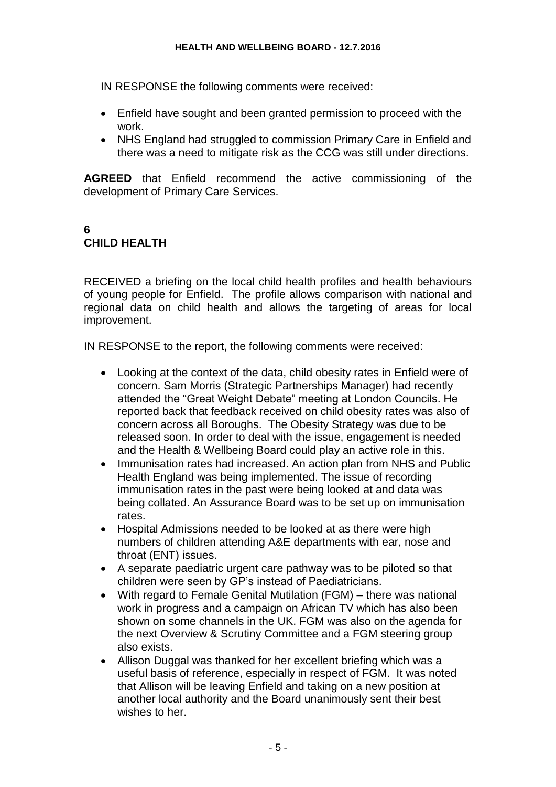IN RESPONSE the following comments were received:

- Enfield have sought and been granted permission to proceed with the work.
- NHS England had struggled to commission Primary Care in Enfield and there was a need to mitigate risk as the CCG was still under directions.

**AGREED** that Enfield recommend the active commissioning of the development of Primary Care Services.

# **6 CHILD HEALTH**

RECEIVED a briefing on the local child health profiles and health behaviours of young people for Enfield. The profile allows comparison with national and regional data on child health and allows the targeting of areas for local improvement.

IN RESPONSE to the report, the following comments were received:

- Looking at the context of the data, child obesity rates in Enfield were of concern. Sam Morris (Strategic Partnerships Manager) had recently attended the "Great Weight Debate" meeting at London Councils. He reported back that feedback received on child obesity rates was also of concern across all Boroughs. The Obesity Strategy was due to be released soon. In order to deal with the issue, engagement is needed and the Health & Wellbeing Board could play an active role in this.
- Immunisation rates had increased. An action plan from NHS and Public Health England was being implemented. The issue of recording immunisation rates in the past were being looked at and data was being collated. An Assurance Board was to be set up on immunisation rates.
- Hospital Admissions needed to be looked at as there were high numbers of children attending A&E departments with ear, nose and throat (ENT) issues.
- A separate paediatric urgent care pathway was to be piloted so that children were seen by GP's instead of Paediatricians.
- With regard to Female Genital Mutilation (FGM) there was national work in progress and a campaign on African TV which has also been shown on some channels in the UK. FGM was also on the agenda for the next Overview & Scrutiny Committee and a FGM steering group also exists.
- Allison Duggal was thanked for her excellent briefing which was a useful basis of reference, especially in respect of FGM. It was noted that Allison will be leaving Enfield and taking on a new position at another local authority and the Board unanimously sent their best wishes to her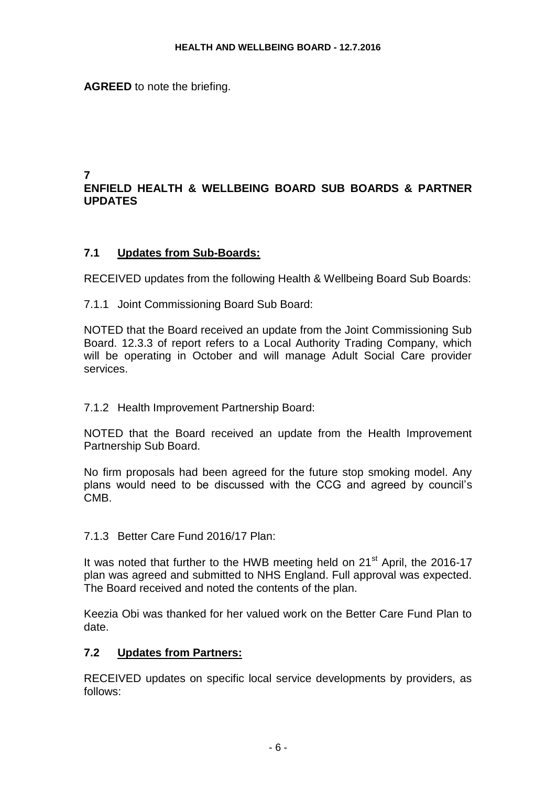**AGREED** to note the briefing.

#### **7 ENFIELD HEALTH & WELLBEING BOARD SUB BOARDS & PARTNER UPDATES**

### **7.1 Updates from Sub-Boards:**

RECEIVED updates from the following Health & Wellbeing Board Sub Boards:

7.1.1 Joint Commissioning Board Sub Board:

NOTED that the Board received an update from the Joint Commissioning Sub Board. 12.3.3 of report refers to a Local Authority Trading Company, which will be operating in October and will manage Adult Social Care provider services.

7.1.2 Health Improvement Partnership Board:

NOTED that the Board received an update from the Health Improvement Partnership Sub Board.

No firm proposals had been agreed for the future stop smoking model. Any plans would need to be discussed with the CCG and agreed by council's CMB.

7.1.3 Better Care Fund 2016/17 Plan:

It was noted that further to the HWB meeting held on 21<sup>st</sup> April, the 2016-17 plan was agreed and submitted to NHS England. Full approval was expected. The Board received and noted the contents of the plan.

Keezia Obi was thanked for her valued work on the Better Care Fund Plan to date.

### **7.2 Updates from Partners:**

RECEIVED updates on specific local service developments by providers, as follows: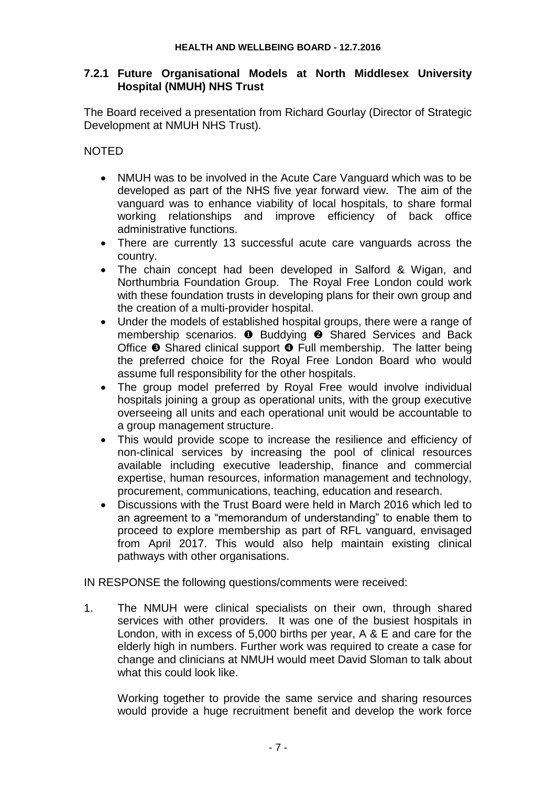### **7.2.1 Future Organisational Models at North Middlesex University Hospital (NMUH) NHS Trust**

The Board received a presentation from Richard Gourlay (Director of Strategic Development at NMUH NHS Trust).

### NOTED

- NMUH was to be involved in the Acute Care Vanguard which was to be developed as part of the NHS five year forward view. The aim of the vanguard was to enhance viability of local hospitals, to share formal working relationships and improve efficiency of back office administrative functions.
- There are currently 13 successful acute care vanguards across the country.
- The chain concept had been developed in Salford & Wigan, and Northumbria Foundation Group. The Royal Free London could work with these foundation trusts in developing plans for their own group and the creation of a multi-provider hospital.
- Under the models of established hospital groups, there were a range of membership scenarios.  $\bullet$  Buddying  $\bullet$  Shared Services and Back Office  $\bullet$  Shared clinical support  $\bullet$  Full membership. The latter being the preferred choice for the Royal Free London Board who would assume full responsibility for the other hospitals.
- The group model preferred by Royal Free would involve individual hospitals joining a group as operational units, with the group executive overseeing all units and each operational unit would be accountable to a group management structure.
- This would provide scope to increase the resilience and efficiency of non-clinical services by increasing the pool of clinical resources available including executive leadership, finance and commercial expertise, human resources, information management and technology, procurement, communications, teaching, education and research.
- Discussions with the Trust Board were held in March 2016 which led to an agreement to a "memorandum of understanding" to enable them to proceed to explore membership as part of RFL vanguard, envisaged from April 2017. This would also help maintain existing clinical pathways with other organisations.

IN RESPONSE the following questions/comments were received:

1. The NMUH were clinical specialists on their own, through shared services with other providers. It was one of the busiest hospitals in London, with in excess of 5,000 births per year, A & E and care for the elderly high in numbers. Further work was required to create a case for change and clinicians at NMUH would meet David Sloman to talk about what this could look like.

Working together to provide the same service and sharing resources would provide a huge recruitment benefit and develop the work force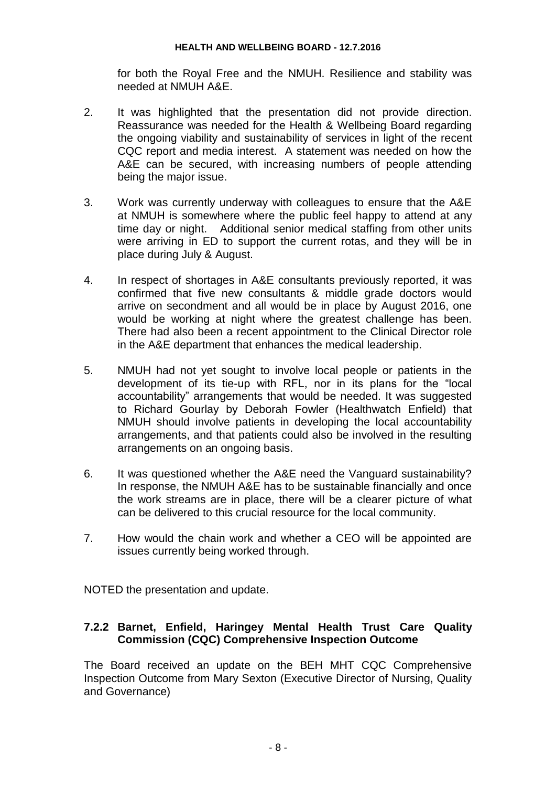#### **HEALTH AND WELLBEING BOARD - 12.7.2016**

for both the Royal Free and the NMUH. Resilience and stability was needed at NMUH A&E.

- 2. It was highlighted that the presentation did not provide direction. Reassurance was needed for the Health & Wellbeing Board regarding the ongoing viability and sustainability of services in light of the recent CQC report and media interest. A statement was needed on how the A&E can be secured, with increasing numbers of people attending being the major issue.
- 3. Work was currently underway with colleagues to ensure that the A&E at NMUH is somewhere where the public feel happy to attend at any time day or night. Additional senior medical staffing from other units were arriving in ED to support the current rotas, and they will be in place during July & August.
- 4. In respect of shortages in A&E consultants previously reported, it was confirmed that five new consultants & middle grade doctors would arrive on secondment and all would be in place by August 2016, one would be working at night where the greatest challenge has been. There had also been a recent appointment to the Clinical Director role in the A&E department that enhances the medical leadership.
- 5. NMUH had not yet sought to involve local people or patients in the development of its tie-up with RFL, nor in its plans for the "local accountability" arrangements that would be needed. It was suggested to Richard Gourlay by Deborah Fowler (Healthwatch Enfield) that NMUH should involve patients in developing the local accountability arrangements, and that patients could also be involved in the resulting arrangements on an ongoing basis.
- 6. It was questioned whether the A&E need the Vanguard sustainability? In response, the NMUH A&E has to be sustainable financially and once the work streams are in place, there will be a clearer picture of what can be delivered to this crucial resource for the local community.
- 7. How would the chain work and whether a CEO will be appointed are issues currently being worked through.

NOTED the presentation and update.

### **7.2.2 Barnet, Enfield, Haringey Mental Health Trust Care Quality Commission (CQC) Comprehensive Inspection Outcome**

The Board received an update on the BEH MHT CQC Comprehensive Inspection Outcome from Mary Sexton (Executive Director of Nursing, Quality and Governance)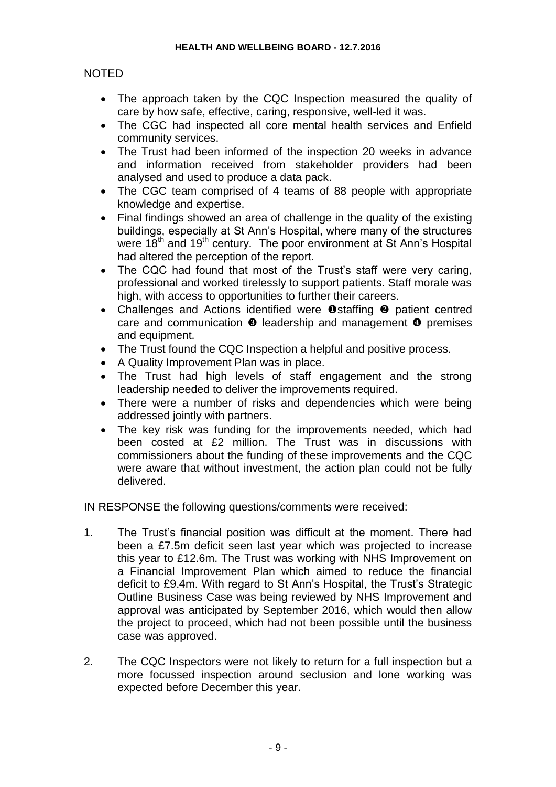# NOTED

- The approach taken by the CQC Inspection measured the quality of care by how safe, effective, caring, responsive, well-led it was.
- The CGC had inspected all core mental health services and Enfield community services.
- The Trust had been informed of the inspection 20 weeks in advance and information received from stakeholder providers had been analysed and used to produce a data pack.
- The CGC team comprised of 4 teams of 88 people with appropriate knowledge and expertise.
- Final findings showed an area of challenge in the quality of the existing buildings, especially at St Ann's Hospital, where many of the structures were 18<sup>th</sup> and 19<sup>th</sup> century. The poor environment at St Ann's Hospital had altered the perception of the report.
- The CQC had found that most of the Trust's staff were very caring, professional and worked tirelessly to support patients. Staff morale was high, with access to opportunities to further their careers.
- Challenges and Actions identified were  $\bullet$  staffing  $\bullet$  patient centred care and communication  $\bullet$  leadership and management  $\bullet$  premises and equipment.
- The Trust found the CQC Inspection a helpful and positive process.
- A Quality Improvement Plan was in place.
- The Trust had high levels of staff engagement and the strong leadership needed to deliver the improvements required.
- There were a number of risks and dependencies which were being addressed jointly with partners.
- The key risk was funding for the improvements needed, which had been costed at £2 million. The Trust was in discussions with commissioners about the funding of these improvements and the CQC were aware that without investment, the action plan could not be fully delivered.

IN RESPONSE the following questions/comments were received:

- 1. The Trust's financial position was difficult at the moment. There had been a £7.5m deficit seen last year which was projected to increase this year to £12.6m. The Trust was working with NHS Improvement on a Financial Improvement Plan which aimed to reduce the financial deficit to £9.4m. With regard to St Ann's Hospital, the Trust's Strategic Outline Business Case was being reviewed by NHS Improvement and approval was anticipated by September 2016, which would then allow the project to proceed, which had not been possible until the business case was approved.
- 2. The CQC Inspectors were not likely to return for a full inspection but a more focussed inspection around seclusion and lone working was expected before December this year.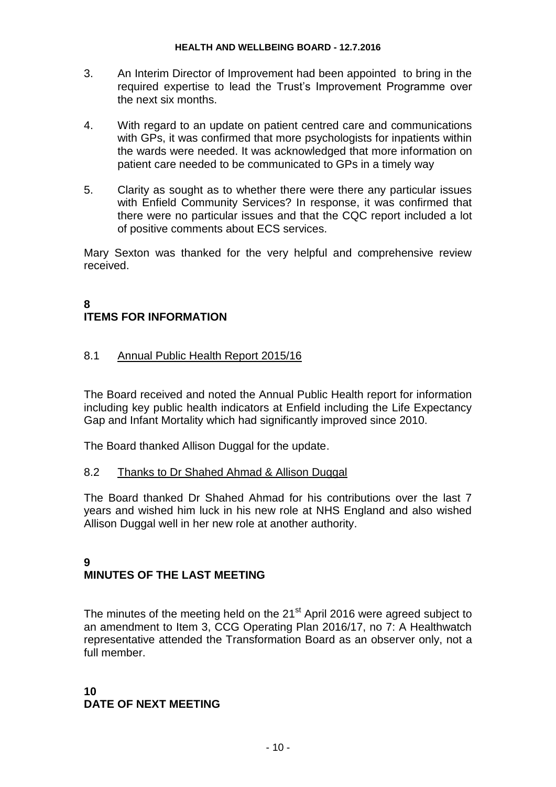- 3. An Interim Director of Improvement had been appointed to bring in the required expertise to lead the Trust's Improvement Programme over the next six months.
- 4. With regard to an update on patient centred care and communications with GPs, it was confirmed that more psychologists for inpatients within the wards were needed. It was acknowledged that more information on patient care needed to be communicated to GPs in a timely way
- 5. Clarity as sought as to whether there were there any particular issues with Enfield Community Services? In response, it was confirmed that there were no particular issues and that the CQC report included a lot of positive comments about ECS services.

Mary Sexton was thanked for the very helpful and comprehensive review received.

#### **8 ITEMS FOR INFORMATION**

## 8.1 Annual Public Health Report 2015/16

The Board received and noted the Annual Public Health report for information including key public health indicators at Enfield including the Life Expectancy Gap and Infant Mortality which had significantly improved since 2010.

The Board thanked Allison Duggal for the update.

### 8.2 Thanks to Dr Shahed Ahmad & Allison Duggal

The Board thanked Dr Shahed Ahmad for his contributions over the last 7 years and wished him luck in his new role at NHS England and also wished Allison Duggal well in her new role at another authority.

#### **9 MINUTES OF THE LAST MEETING**

The minutes of the meeting held on the 21<sup>st</sup> April 2016 were agreed subject to an amendment to Item 3, CCG Operating Plan 2016/17, no 7: A Healthwatch representative attended the Transformation Board as an observer only, not a full member.

### **10 DATE OF NEXT MEETING**